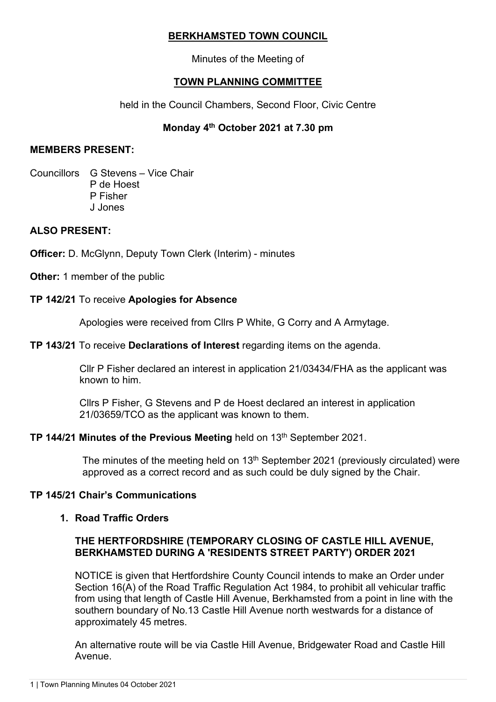# **BERKHAMSTED TOWN COUNCIL**

Minutes of the Meeting of

# **TOWN PLANNING COMMITTEE**

held in the Council Chambers, Second Floor, Civic Centre

# **Monday 4th October 2021 at 7.30 pm**

### **MEMBERS PRESENT:**

Councillors G Stevens – Vice Chair P de Hoest P Fisher J Jones

# **ALSO PRESENT:**

**Officer:** D. McGlynn, Deputy Town Clerk (Interim) - minutes

**Other:** 1 member of the public

#### **TP 142/21** To receive **Apologies for Absence**

Apologies were received from Cllrs P White, G Corry and A Armytage.

### **TP 143/21** To receive **Declarations of Interest** regarding items on the agenda.

Cllr P Fisher declared an interest in application 21/03434/FHA as the applicant was known to him.

Cllrs P Fisher, G Stevens and P de Hoest declared an interest in application 21/03659/TCO as the applicant was known to them.

## **TP 144/21 Minutes of the Previous Meeting held on 13th September 2021.**

The minutes of the meeting held on  $13<sup>th</sup>$  September 2021 (previously circulated) were approved as a correct record and as such could be duly signed by the Chair.

#### **TP 145/21 Chair's Communications**

## **1. Road Traffic Orders**

## **THE HERTFORDSHIRE (TEMPORARY CLOSING OF CASTLE HILL AVENUE, BERKHAMSTED DURING A 'RESIDENTS STREET PARTY') ORDER 2021**

NOTICE is given that Hertfordshire County Council intends to make an Order under Section 16(A) of the Road Traffic Regulation Act 1984, to prohibit all vehicular traffic from using that length of Castle Hill Avenue, Berkhamsted from a point in line with the southern boundary of No.13 Castle Hill Avenue north westwards for a distance of approximately 45 metres.

An alternative route will be via Castle Hill Avenue, Bridgewater Road and Castle Hill Avenue.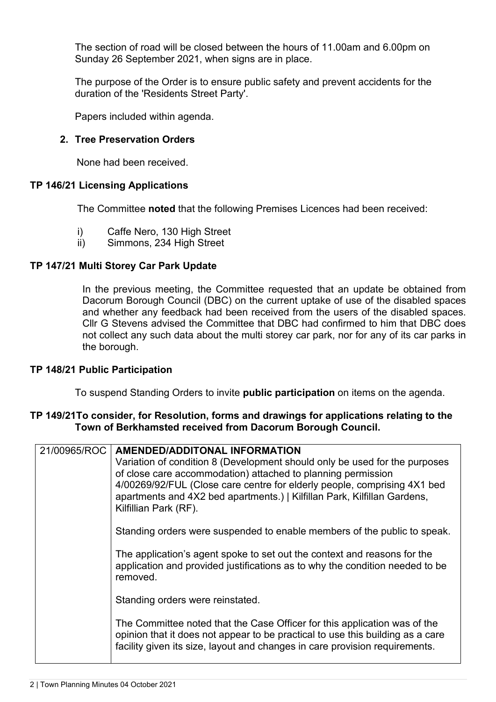The section of road will be closed between the hours of 11.00am and 6.00pm on Sunday 26 September 2021, when signs are in place.

The purpose of the Order is to ensure public safety and prevent accidents for the duration of the 'Residents Street Party'.

Papers included within agenda.

## **2. Tree Preservation Orders**

None had been received.

## **TP 146/21 Licensing Applications**

The Committee **noted** that the following Premises Licences had been received:

- i) Caffe Nero, 130 High Street
- ii) Simmons, 234 High Street

#### **TP 147/21 Multi Storey Car Park Update**

In the previous meeting, the Committee requested that an update be obtained from Dacorum Borough Council (DBC) on the current uptake of use of the disabled spaces and whether any feedback had been received from the users of the disabled spaces. Cllr G Stevens advised the Committee that DBC had confirmed to him that DBC does not collect any such data about the multi storey car park, nor for any of its car parks in the borough.

#### **TP 148/21 Public Participation**

To suspend Standing Orders to invite **public participation** on items on the agenda.

#### **TP 149/21To consider, for Resolution, forms and drawings for applications relating to the Town of Berkhamsted received from Dacorum Borough Council.**

| 21/00965/ROC | <b>AMENDED/ADDITONAL INFORMATION</b>                                           |
|--------------|--------------------------------------------------------------------------------|
|              | Variation of condition 8 (Development should only be used for the purposes     |
|              | of close care accommodation) attached to planning permission                   |
|              | 4/00269/92/FUL (Close care centre for elderly people, comprising 4X1 bed       |
|              | apartments and 4X2 bed apartments.)   Kilfillan Park, Kilfillan Gardens,       |
|              | Kilfillian Park (RF).                                                          |
|              |                                                                                |
|              | Standing orders were suspended to enable members of the public to speak.       |
|              |                                                                                |
|              | The application's agent spoke to set out the context and reasons for the       |
|              | application and provided justifications as to why the condition needed to be   |
|              | removed.                                                                       |
|              |                                                                                |
|              | Standing orders were reinstated.                                               |
|              |                                                                                |
|              | The Committee noted that the Case Officer for this application was of the      |
|              | opinion that it does not appear to be practical to use this building as a care |
|              | facility given its size, layout and changes in care provision requirements.    |
|              |                                                                                |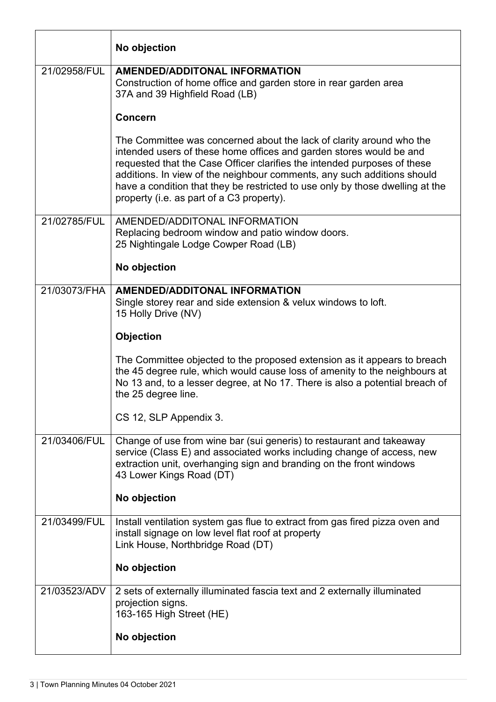|              | No objection                                                                                                                                                                                                                                                                                                                                                                                                                     |
|--------------|----------------------------------------------------------------------------------------------------------------------------------------------------------------------------------------------------------------------------------------------------------------------------------------------------------------------------------------------------------------------------------------------------------------------------------|
| 21/02958/FUL | <b>AMENDED/ADDITONAL INFORMATION</b><br>Construction of home office and garden store in rear garden area<br>37A and 39 Highfield Road (LB)                                                                                                                                                                                                                                                                                       |
|              | <b>Concern</b>                                                                                                                                                                                                                                                                                                                                                                                                                   |
|              | The Committee was concerned about the lack of clarity around who the<br>intended users of these home offices and garden stores would be and<br>requested that the Case Officer clarifies the intended purposes of these<br>additions. In view of the neighbour comments, any such additions should<br>have a condition that they be restricted to use only by those dwelling at the<br>property (i.e. as part of a C3 property). |
| 21/02785/FUL | AMENDED/ADDITONAL INFORMATION<br>Replacing bedroom window and patio window doors.<br>25 Nightingale Lodge Cowper Road (LB)                                                                                                                                                                                                                                                                                                       |
|              | No objection                                                                                                                                                                                                                                                                                                                                                                                                                     |
| 21/03073/FHA | <b>AMENDED/ADDITONAL INFORMATION</b><br>Single storey rear and side extension & velux windows to loft.<br>15 Holly Drive (NV)                                                                                                                                                                                                                                                                                                    |
|              | Objection                                                                                                                                                                                                                                                                                                                                                                                                                        |
|              | The Committee objected to the proposed extension as it appears to breach<br>the 45 degree rule, which would cause loss of amenity to the neighbours at<br>No 13 and, to a lesser degree, at No 17. There is also a potential breach of<br>the 25 degree line.                                                                                                                                                                    |
|              | CS 12, SLP Appendix 3.                                                                                                                                                                                                                                                                                                                                                                                                           |
| 21/03406/FUL | Change of use from wine bar (sui generis) to restaurant and takeaway<br>service (Class E) and associated works including change of access, new<br>extraction unit, overhanging sign and branding on the front windows<br>43 Lower Kings Road (DT)                                                                                                                                                                                |
|              | No objection                                                                                                                                                                                                                                                                                                                                                                                                                     |
| 21/03499/FUL | Install ventilation system gas flue to extract from gas fired pizza oven and<br>install signage on low level flat roof at property<br>Link House, Northbridge Road (DT)                                                                                                                                                                                                                                                          |
|              | No objection                                                                                                                                                                                                                                                                                                                                                                                                                     |
| 21/03523/ADV | 2 sets of externally illuminated fascia text and 2 externally illuminated<br>projection signs.<br>163-165 High Street (HE)<br>No objection                                                                                                                                                                                                                                                                                       |
|              |                                                                                                                                                                                                                                                                                                                                                                                                                                  |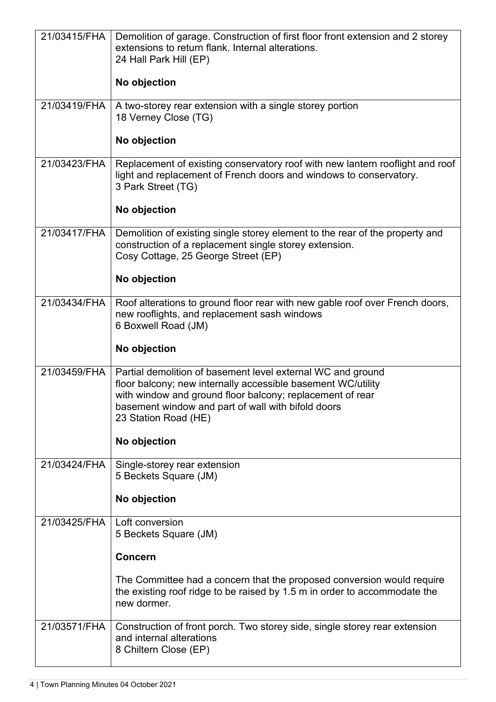| 21/03415/FHA | Demolition of garage. Construction of first floor front extension and 2 storey                                                                                                                                                                                         |
|--------------|------------------------------------------------------------------------------------------------------------------------------------------------------------------------------------------------------------------------------------------------------------------------|
|              | extensions to return flank. Internal alterations.<br>24 Hall Park Hill (EP)                                                                                                                                                                                            |
|              |                                                                                                                                                                                                                                                                        |
|              | No objection                                                                                                                                                                                                                                                           |
| 21/03419/FHA | A two-storey rear extension with a single storey portion<br>18 Verney Close (TG)                                                                                                                                                                                       |
|              | No objection                                                                                                                                                                                                                                                           |
| 21/03423/FHA | Replacement of existing conservatory roof with new lantern rooflight and roof<br>light and replacement of French doors and windows to conservatory.<br>3 Park Street (TG)                                                                                              |
|              | No objection                                                                                                                                                                                                                                                           |
| 21/03417/FHA | Demolition of existing single storey element to the rear of the property and<br>construction of a replacement single storey extension.<br>Cosy Cottage, 25 George Street (EP)                                                                                          |
|              | No objection                                                                                                                                                                                                                                                           |
| 21/03434/FHA | Roof alterations to ground floor rear with new gable roof over French doors,<br>new rooflights, and replacement sash windows<br>6 Boxwell Road (JM)                                                                                                                    |
|              | No objection                                                                                                                                                                                                                                                           |
| 21/03459/FHA | Partial demolition of basement level external WC and ground<br>floor balcony; new internally accessible basement WC/utility<br>with window and ground floor balcony; replacement of rear<br>basement window and part of wall with bifold doors<br>23 Station Road (HE) |
|              | No objection                                                                                                                                                                                                                                                           |
| 21/03424/FHA | Single-storey rear extension<br>5 Beckets Square (JM)                                                                                                                                                                                                                  |
|              | No objection                                                                                                                                                                                                                                                           |
| 21/03425/FHA | Loft conversion<br>5 Beckets Square (JM)                                                                                                                                                                                                                               |
|              | <b>Concern</b>                                                                                                                                                                                                                                                         |
|              | The Committee had a concern that the proposed conversion would require<br>the existing roof ridge to be raised by 1.5 m in order to accommodate the<br>new dormer.                                                                                                     |
| 21/03571/FHA | Construction of front porch. Two storey side, single storey rear extension<br>and internal alterations<br>8 Chiltern Close (EP)                                                                                                                                        |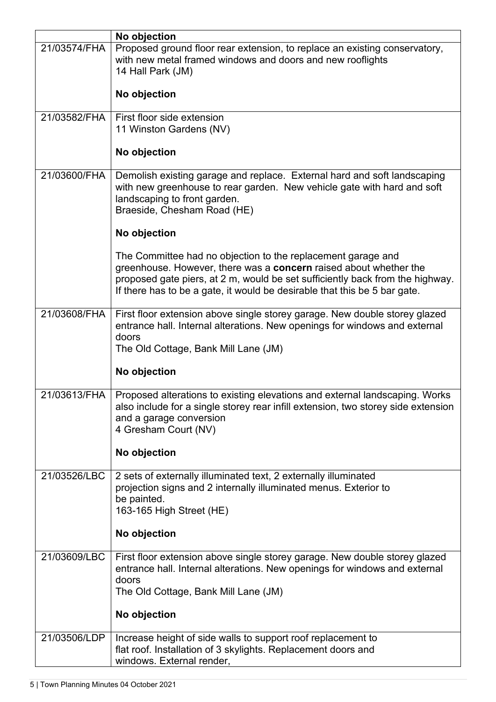|              | No objection                                                                                                                                                                                                                                                                                    |
|--------------|-------------------------------------------------------------------------------------------------------------------------------------------------------------------------------------------------------------------------------------------------------------------------------------------------|
| 21/03574/FHA | Proposed ground floor rear extension, to replace an existing conservatory,<br>with new metal framed windows and doors and new rooflights<br>14 Hall Park (JM)                                                                                                                                   |
|              | No objection                                                                                                                                                                                                                                                                                    |
| 21/03582/FHA | First floor side extension<br>11 Winston Gardens (NV)                                                                                                                                                                                                                                           |
|              | No objection                                                                                                                                                                                                                                                                                    |
| 21/03600/FHA | Demolish existing garage and replace. External hard and soft landscaping<br>with new greenhouse to rear garden. New vehicle gate with hard and soft<br>landscaping to front garden.<br>Braeside, Chesham Road (HE)                                                                              |
|              | No objection                                                                                                                                                                                                                                                                                    |
|              | The Committee had no objection to the replacement garage and<br>greenhouse. However, there was a concern raised about whether the<br>proposed gate piers, at 2 m, would be set sufficiently back from the highway.<br>If there has to be a gate, it would be desirable that this be 5 bar gate. |
| 21/03608/FHA | First floor extension above single storey garage. New double storey glazed<br>entrance hall. Internal alterations. New openings for windows and external<br>doors<br>The Old Cottage, Bank Mill Lane (JM)                                                                                       |
|              | No objection                                                                                                                                                                                                                                                                                    |
| 21/03613/FHA | Proposed alterations to existing elevations and external landscaping. Works<br>also include for a single storey rear infill extension, two storey side extension<br>and a garage conversion<br>4 Gresham Court (NV)                                                                             |
|              | No objection                                                                                                                                                                                                                                                                                    |
| 21/03526/LBC | 2 sets of externally illuminated text, 2 externally illuminated<br>projection signs and 2 internally illuminated menus. Exterior to<br>be painted.<br>163-165 High Street (HE)<br>No objection                                                                                                  |
|              |                                                                                                                                                                                                                                                                                                 |
| 21/03609/LBC | First floor extension above single storey garage. New double storey glazed<br>entrance hall. Internal alterations. New openings for windows and external<br>doors<br>The Old Cottage, Bank Mill Lane (JM)<br>No objection                                                                       |
|              |                                                                                                                                                                                                                                                                                                 |
| 21/03506/LDP | Increase height of side walls to support roof replacement to<br>flat roof. Installation of 3 skylights. Replacement doors and<br>windows. External render,                                                                                                                                      |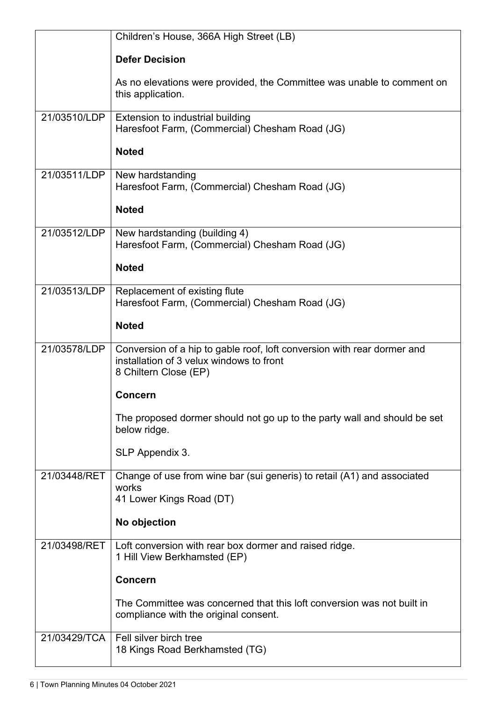|              | Children's House, 366A High Street (LB)                                                                                                      |
|--------------|----------------------------------------------------------------------------------------------------------------------------------------------|
|              | <b>Defer Decision</b>                                                                                                                        |
|              | As no elevations were provided, the Committee was unable to comment on<br>this application.                                                  |
| 21/03510/LDP | Extension to industrial building<br>Haresfoot Farm, (Commercial) Chesham Road (JG)                                                           |
|              | <b>Noted</b>                                                                                                                                 |
| 21/03511/LDP | New hardstanding<br>Haresfoot Farm, (Commercial) Chesham Road (JG)                                                                           |
|              | <b>Noted</b>                                                                                                                                 |
| 21/03512/LDP | New hardstanding (building 4)<br>Haresfoot Farm, (Commercial) Chesham Road (JG)                                                              |
|              | <b>Noted</b>                                                                                                                                 |
| 21/03513/LDP | Replacement of existing flute<br>Haresfoot Farm, (Commercial) Chesham Road (JG)                                                              |
|              | <b>Noted</b>                                                                                                                                 |
| 21/03578/LDP | Conversion of a hip to gable roof, loft conversion with rear dormer and<br>installation of 3 velux windows to front<br>8 Chiltern Close (EP) |
|              | <b>Concern</b>                                                                                                                               |
|              | The proposed dormer should not go up to the party wall and should be set<br>below ridge.                                                     |
|              | SLP Appendix 3.                                                                                                                              |
| 21/03448/RET | Change of use from wine bar (sui generis) to retail (A1) and associated<br>works<br>41 Lower Kings Road (DT)                                 |
|              | No objection                                                                                                                                 |
| 21/03498/RET | Loft conversion with rear box dormer and raised ridge.<br>1 Hill View Berkhamsted (EP)                                                       |
|              | <b>Concern</b>                                                                                                                               |
|              | The Committee was concerned that this loft conversion was not built in<br>compliance with the original consent.                              |
| 21/03429/TCA | Fell silver birch tree<br>18 Kings Road Berkhamsted (TG)                                                                                     |